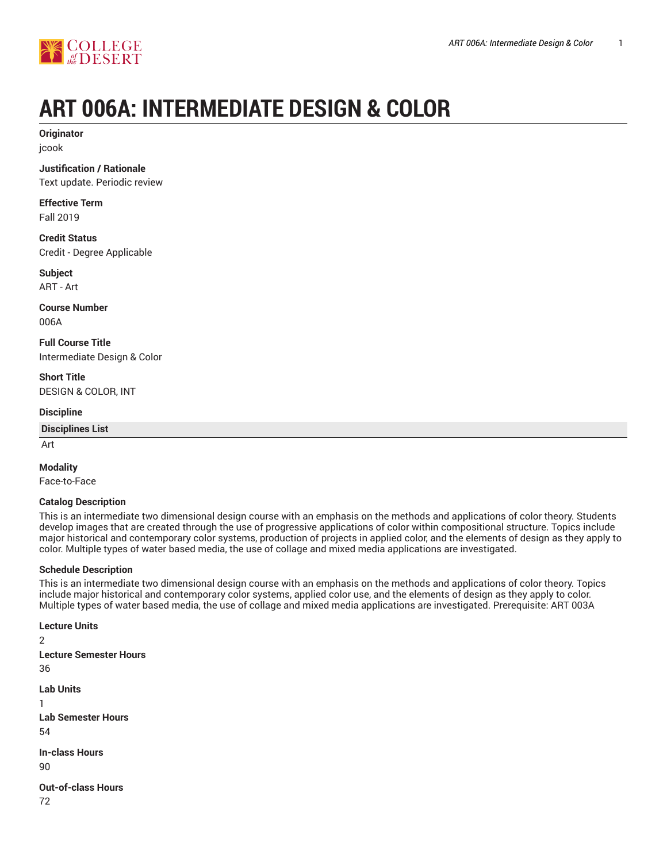

## **ART 006A: INTERMEDIATE DESIGN & COLOR**

**Originator** jcook

**Justification / Rationale** Text update. Periodic review

**Effective Term** Fall 2019

**Credit Status** Credit - Degree Applicable

**Subject** ART - Art

**Course Number** 006A

**Full Course Title** Intermediate Design & Color

**Short Title** DESIGN & COLOR, INT

**Discipline**

**Disciplines List**

Art

#### **Modality**

Face-to-Face

#### **Catalog Description**

This is an intermediate two dimensional design course with an emphasis on the methods and applications of color theory. Students develop images that are created through the use of progressive applications of color within compositional structure. Topics include major historical and contemporary color systems, production of projects in applied color, and the elements of design as they apply to color. Multiple types of water based media, the use of collage and mixed media applications are investigated.

#### **Schedule Description**

This is an intermediate two dimensional design course with an emphasis on the methods and applications of color theory. Topics include major historical and contemporary color systems, applied color use, and the elements of design as they apply to color. Multiple types of water based media, the use of collage and mixed media applications are investigated. Prerequisite: ART 003A

**Lecture Units** 2 **Lecture Semester Hours** 36 **Lab Units** 1 **Lab Semester Hours** 54 **In-class Hours** 90 **Out-of-class Hours**

72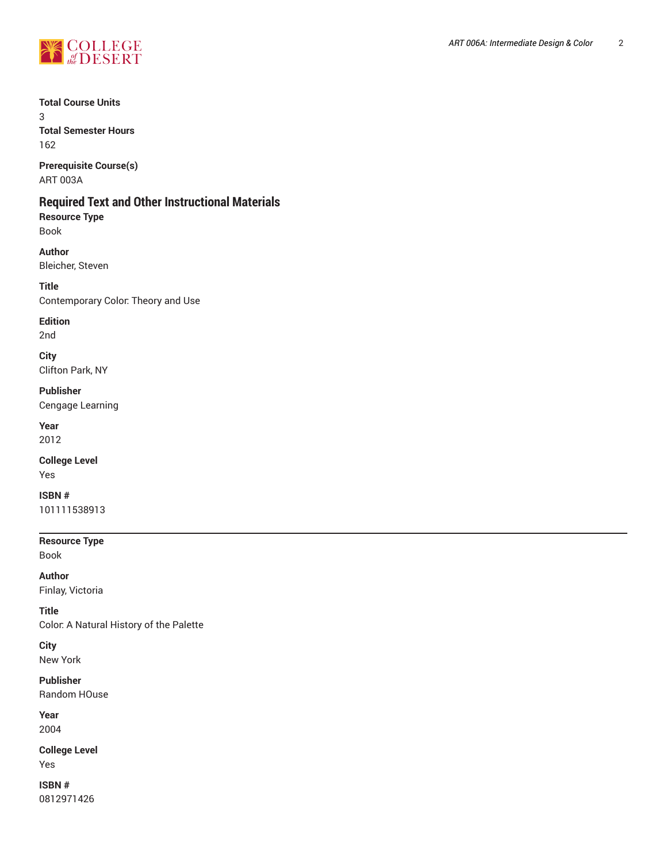

#### **Total Course Units**

3 **Total Semester Hours**

162

**Prerequisite Course(s)** ART 003A

## **Required Text and Other Instructional Materials**

**Resource Type** Book

**Author** Bleicher, Steven

**Title** Contemporary Color: Theory and Use

**Edition**

2nd

**City** Clifton Park, NY

**Publisher** Cengage Learning

**Year** 2012

**College Level** Yes

**ISBN #** 101111538913

**Resource Type**

Book

**Author**

Finlay, Victoria

**Title** Color: A Natural History of the Palette

**City** New York

**Publisher** Random HOuse

**Year** 2004

**College Level** Yes

**ISBN #** 0812971426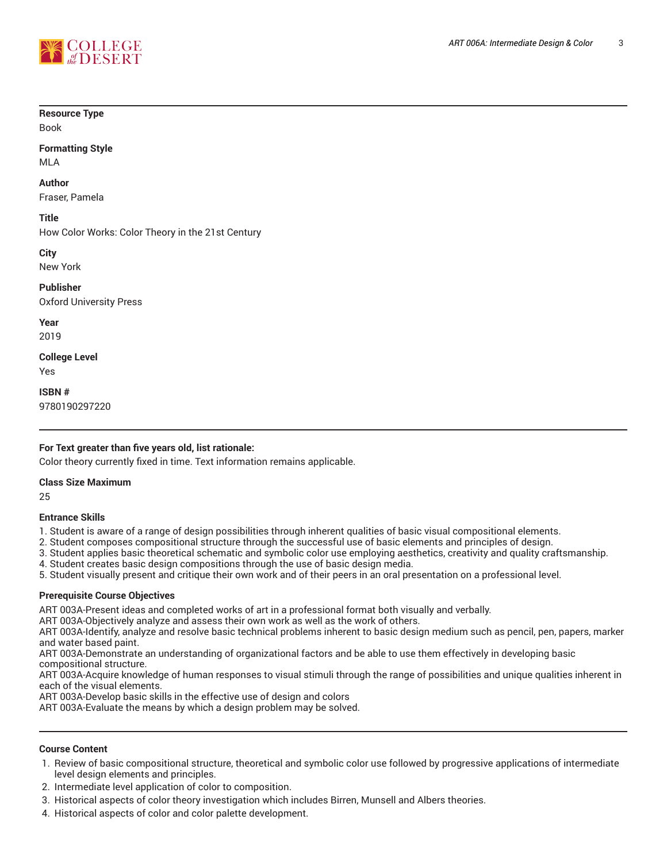

#### **Resource Type**

Book

### **Formatting Style**

MLA

#### **Author**

Fraser, Pamela

#### **Title**

How Color Works: Color Theory in the 21st Century

**City**

New York

**Publisher** Oxford University Press

**Year** 2019

**College Level** Yes

**ISBN #** 9780190297220

#### **For Text greater than five years old, list rationale:**

Color theory currently fixed in time. Text information remains applicable.

#### **Class Size Maximum**

25

#### **Entrance Skills**

1. Student is aware of a range of design possibilities through inherent qualities of basic visual compositional elements.

2. Student composes compositional structure through the successful use of basic elements and principles of design.

- 3. Student applies basic theoretical schematic and symbolic color use employing aesthetics, creativity and quality craftsmanship.
- 4. Student creates basic design compositions through the use of basic design media.

5. Student visually present and critique their own work and of their peers in an oral presentation on a professional level.

#### **Prerequisite Course Objectives**

ART 003A-Present ideas and completed works of art in a professional format both visually and verbally.

ART 003A-Objectively analyze and assess their own work as well as the work of others.

ART 003A-Identify, analyze and resolve basic technical problems inherent to basic design medium such as pencil, pen, papers, marker and water based paint.

ART 003A-Demonstrate an understanding of organizational factors and be able to use them effectively in developing basic compositional structure.

ART 003A-Acquire knowledge of human responses to visual stimuli through the range of possibilities and unique qualities inherent in each of the visual elements.

ART 003A-Develop basic skills in the effective use of design and colors

ART 003A-Evaluate the means by which a design problem may be solved.

#### **Course Content**

- 1. Review of basic compositional structure, theoretical and symbolic color use followed by progressive applications of intermediate level design elements and principles.
- 2. Intermediate level application of color to composition.
- 3. Historical aspects of color theory investigation which includes Birren, Munsell and Albers theories.
- 4. Historical aspects of color and color palette development.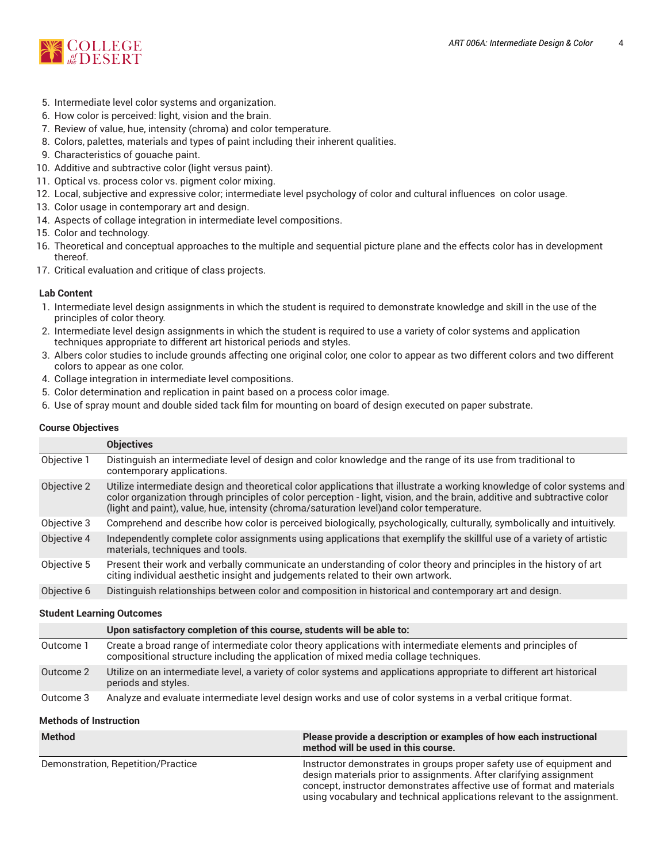

- 5. Intermediate level color systems and organization.
- 6. How color is perceived: light, vision and the brain.
- 7. Review of value, hue, intensity (chroma) and color temperature.
- 8. Colors, palettes, materials and types of paint including their inherent qualities.
- 9. Characteristics of gouache paint.
- 10. Additive and subtractive color (light versus paint).
- 11. Optical vs. process color vs. pigment color mixing.
- 12. Local, subjective and expressive color; intermediate level psychology of color and cultural influences on color usage.
- 13. Color usage in contemporary art and design.
- 14. Aspects of collage integration in intermediate level compositions.
- 15. Color and technology.
- 16. Theoretical and conceptual approaches to the multiple and sequential picture plane and the effects color has in development thereof.
- 17. Critical evaluation and critique of class projects.

#### **Lab Content**

- 1. Intermediate level design assignments in which the student is required to demonstrate knowledge and skill in the use of the principles of color theory.
- 2. Intermediate level design assignments in which the student is required to use a variety of color systems and application techniques appropriate to different art historical periods and styles.
- 3. Albers color studies to include grounds affecting one original color, one color to appear as two different colors and two different colors to appear as one color.
- 4. Collage integration in intermediate level compositions.
- 5. Color determination and replication in paint based on a process color image.
- 6. Use of spray mount and double sided tack film for mounting on board of design executed on paper substrate.

#### **Course Objectives**

|                           | <b>Objectives</b>                                                                                                                                                                                                                                                                                                                                |  |  |
|---------------------------|--------------------------------------------------------------------------------------------------------------------------------------------------------------------------------------------------------------------------------------------------------------------------------------------------------------------------------------------------|--|--|
| Objective 1               | Distinguish an intermediate level of design and color knowledge and the range of its use from traditional to<br>contemporary applications.                                                                                                                                                                                                       |  |  |
| Objective 2               | Utilize intermediate design and theoretical color applications that illustrate a working knowledge of color systems and<br>color organization through principles of color perception - light, vision, and the brain, additive and subtractive color<br>(light and paint), value, hue, intensity (chroma/saturation level) and color temperature. |  |  |
| Objective 3               | Comprehend and describe how color is perceived biologically, psychologically, culturally, symbolically and intuitively.                                                                                                                                                                                                                          |  |  |
| Objective 4               | Independently complete color assignments using applications that exemplify the skillful use of a variety of artistic<br>materials, techniques and tools.                                                                                                                                                                                         |  |  |
| Objective 5               | Present their work and verbally communicate an understanding of color theory and principles in the history of art<br>citing individual aesthetic insight and judgements related to their own artwork.                                                                                                                                            |  |  |
| Objective 6               | Distinguish relationships between color and composition in historical and contemporary art and design.                                                                                                                                                                                                                                           |  |  |
| Chudant Loopping Outcompo |                                                                                                                                                                                                                                                                                                                                                  |  |  |

#### **Student Learning Outcomes**

|           | Upon satisfactory completion of this course, students will be able to:                                                                                                                              |
|-----------|-----------------------------------------------------------------------------------------------------------------------------------------------------------------------------------------------------|
| Outcome 1 | Create a broad range of intermediate color theory applications with intermediate elements and principles of<br>compositional structure including the application of mixed media collage techniques. |
| Outcome 2 | Utilize on an intermediate level, a variety of color systems and applications appropriate to different art historical<br>periods and styles.                                                        |
| Outcome 3 | Analyze and evaluate intermediate level design works and use of color systems in a verbal critique format.                                                                                          |

#### **Methods of Instruction**

| <b>Method</b>                      | Please provide a description or examples of how each instructional<br>method will be used in this course.                                                                                                                                                                                       |
|------------------------------------|-------------------------------------------------------------------------------------------------------------------------------------------------------------------------------------------------------------------------------------------------------------------------------------------------|
| Demonstration, Repetition/Practice | Instructor demonstrates in groups proper safety use of equipment and<br>design materials prior to assignments. After clarifying assignment<br>concept, instructor demonstrates affective use of format and materials<br>using vocabulary and technical applications relevant to the assignment. |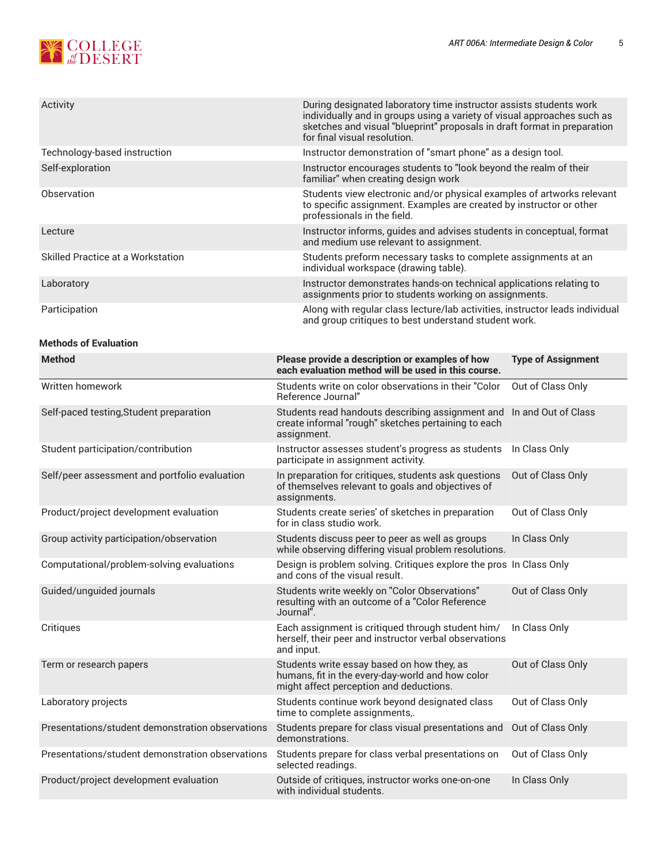# **NE COLLEGE**

| Activity                          | During designated laboratory time instructor assists students work<br>individually and in groups using a variety of visual approaches such as<br>sketches and visual "blueprint" proposals in draft format in preparation<br>for final visual resolution. |  |
|-----------------------------------|-----------------------------------------------------------------------------------------------------------------------------------------------------------------------------------------------------------------------------------------------------------|--|
| Technology-based instruction      | Instructor demonstration of "smart phone" as a design tool.                                                                                                                                                                                               |  |
| Self-exploration                  | Instructor encourages students to "look beyond the realm of their<br>familiar" when creating design work                                                                                                                                                  |  |
| Observation                       | Students view electronic and/or physical examples of artworks relevant<br>to specific assignment. Examples are created by instructor or other<br>professionals in the field.                                                                              |  |
| Lecture                           | Instructor informs, guides and advises students in conceptual, format<br>and medium use relevant to assignment.                                                                                                                                           |  |
| Skilled Practice at a Workstation | Students preform necessary tasks to complete assignments at an<br>individual workspace (drawing table).                                                                                                                                                   |  |
| Laboratory                        | Instructor demonstrates hands-on technical applications relating to<br>assignments prior to students working on assignments.                                                                                                                              |  |
| Participation                     | Along with regular class lecture/lab activities, instructor leads individual<br>and group critiques to best understand student work.                                                                                                                      |  |

#### **Methods of Evaluation**

| <b>Method</b>                                    | Please provide a description or examples of how<br>each evaluation method will be used in this course.                                    | <b>Type of Assignment</b> |
|--------------------------------------------------|-------------------------------------------------------------------------------------------------------------------------------------------|---------------------------|
| Written homework                                 | Students write on color observations in their "Color<br>Reference Journal"                                                                | Out of Class Only         |
| Self-paced testing, Student preparation          | Students read handouts describing assignment and<br>create informal "rough" sketches pertaining to each<br>assignment.                    | In and Out of Class       |
| Student participation/contribution               | Instructor assesses student's progress as students<br>participate in assignment activity.                                                 | In Class Only             |
| Self/peer assessment and portfolio evaluation    | In preparation for critiques, students ask questions<br>of themselves relevant to goals and objectives of<br>assignments.                 | Out of Class Only         |
| Product/project development evaluation           | Students create series' of sketches in preparation<br>for in class studio work.                                                           | Out of Class Only         |
| Group activity participation/observation         | Students discuss peer to peer as well as groups<br>while observing differing visual problem resolutions.                                  | In Class Only             |
| Computational/problem-solving evaluations        | Design is problem solving. Critiques explore the pros In Class Only<br>and cons of the visual result.                                     |                           |
| Guided/unguided journals                         | Students write weekly on "Color Observations"<br>resulting with an outcome of a "Color Reference<br>Journal".                             | Out of Class Only         |
| Critiques                                        | Each assignment is critiqued through student him/<br>herself, their peer and instructor verbal observations<br>and input.                 | In Class Only             |
| Term or research papers                          | Students write essay based on how they, as<br>humans, fit in the every-day-world and how color<br>might affect perception and deductions. | Out of Class Only         |
| Laboratory projects                              | Students continue work beyond designated class<br>time to complete assignments,.                                                          | Out of Class Only         |
| Presentations/student demonstration observations | Students prepare for class visual presentations and<br>demonstrations.                                                                    | Out of Class Only         |
| Presentations/student demonstration observations | Students prepare for class verbal presentations on<br>selected readings.                                                                  | Out of Class Only         |
| Product/project development evaluation           | Outside of critiques, instructor works one-on-one<br>with individual students.                                                            | In Class Only             |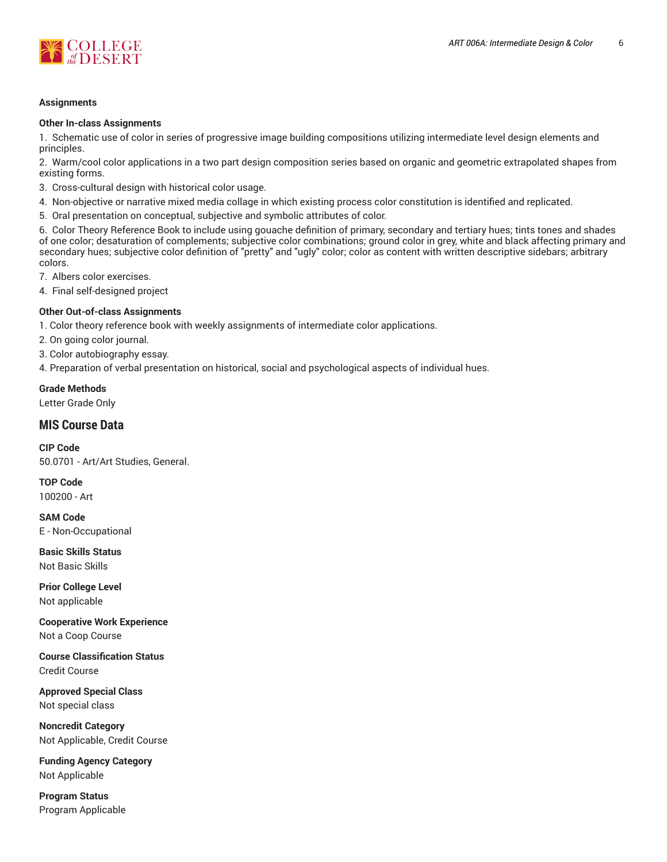

#### **Assignments**

#### **Other In-class Assignments**

1. Schematic use of color in series of progressive image building compositions utilizing intermediate level design elements and principles.

2. Warm/cool color applications in a two part design composition series based on organic and geometric extrapolated shapes from existing forms.

3. Cross-cultural design with historical color usage.

- 4. Non-objective or narrative mixed media collage in which existing process color constitution is identified and replicated.
- 5. Oral presentation on conceptual, subjective and symbolic attributes of color.

6. Color Theory Reference Book to include using gouache definition of primary, secondary and tertiary hues; tints tones and shades of one color; desaturation of complements; subjective color combinations; ground color in grey, white and black affecting primary and secondary hues; subjective color definition of "pretty" and "ugly" color; color as content with written descriptive sidebars; arbitrary colors.

7. Albers color exercises.

4. Final self-designed project

#### **Other Out-of-class Assignments**

1. Color theory reference book with weekly assignments of intermediate color applications.

2. On going color journal.

3. Color autobiography essay.

4. Preparation of verbal presentation on historical, social and psychological aspects of individual hues.

#### **Grade Methods**

Letter Grade Only

#### **MIS Course Data**

**CIP Code** 50.0701 - Art/Art Studies, General.

**TOP Code** 100200 - Art

**SAM Code** E - Non-Occupational

**Basic Skills Status** Not Basic Skills

**Prior College Level** Not applicable

**Cooperative Work Experience** Not a Coop Course

**Course Classification Status** Credit Course

**Approved Special Class** Not special class

**Noncredit Category** Not Applicable, Credit Course

**Funding Agency Category** Not Applicable

**Program Status** Program Applicable